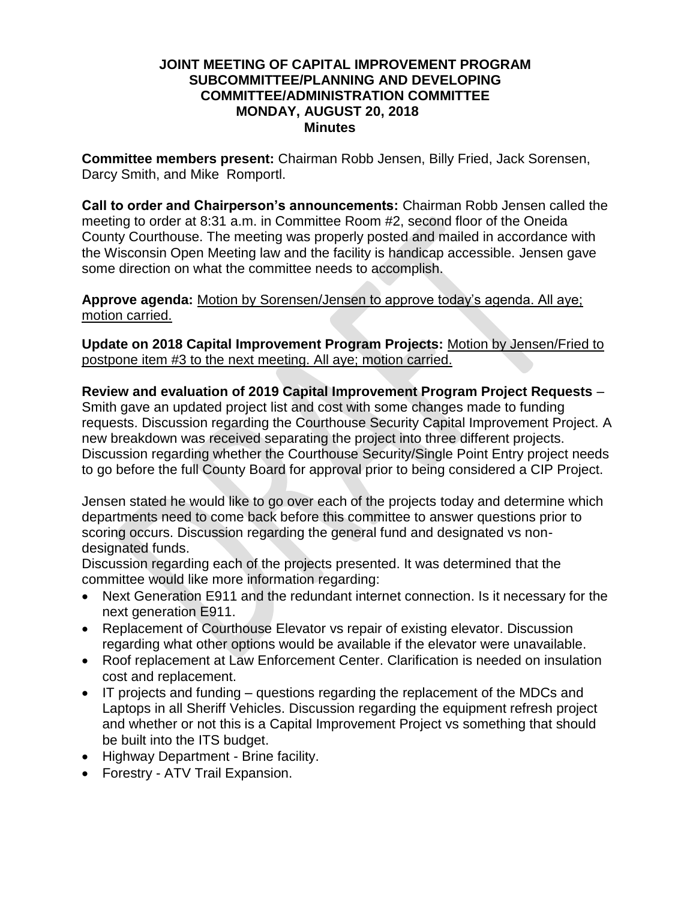### **JOINT MEETING OF CAPITAL IMPROVEMENT PROGRAM SUBCOMMITTEE/PLANNING AND DEVELOPING COMMITTEE/ADMINISTRATION COMMITTEE MONDAY, AUGUST 20, 2018 Minutes**

**Committee members present:** Chairman Robb Jensen, Billy Fried, Jack Sorensen, Darcy Smith, and Mike Romportl.

**Call to order and Chairperson's announcements:** Chairman Robb Jensen called the meeting to order at 8:31 a.m. in Committee Room #2, second floor of the Oneida County Courthouse. The meeting was properly posted and mailed in accordance with the Wisconsin Open Meeting law and the facility is handicap accessible. Jensen gave some direction on what the committee needs to accomplish.

**Approve agenda:** Motion by Sorensen/Jensen to approve today's agenda. All aye; motion carried.

**Update on 2018 Capital Improvement Program Projects:** Motion by Jensen/Fried to postpone item #3 to the next meeting. All aye; motion carried.

**Review and evaluation of 2019 Capital Improvement Program Project Requests** – Smith gave an updated project list and cost with some changes made to funding requests. Discussion regarding the Courthouse Security Capital Improvement Project. A new breakdown was received separating the project into three different projects. Discussion regarding whether the Courthouse Security/Single Point Entry project needs to go before the full County Board for approval prior to being considered a CIP Project.

Jensen stated he would like to go over each of the projects today and determine which departments need to come back before this committee to answer questions prior to scoring occurs. Discussion regarding the general fund and designated vs nondesignated funds.

Discussion regarding each of the projects presented. It was determined that the committee would like more information regarding:

- Next Generation E911 and the redundant internet connection. Is it necessary for the next generation E911.
- Replacement of Courthouse Elevator vs repair of existing elevator. Discussion regarding what other options would be available if the elevator were unavailable.
- Roof replacement at Law Enforcement Center. Clarification is needed on insulation cost and replacement.
- IT projects and funding questions regarding the replacement of the MDCs and Laptops in all Sheriff Vehicles. Discussion regarding the equipment refresh project and whether or not this is a Capital Improvement Project vs something that should be built into the ITS budget.
- Highway Department Brine facility.
- Forestry ATV Trail Expansion.